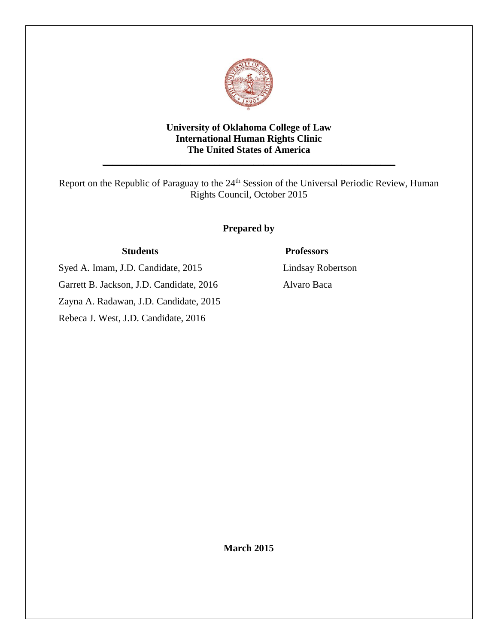

### **University of Oklahoma College of Law International Human Rights Clinic The United States of America**

 $\_$  , and the set of the set of the set of the set of the set of the set of the set of the set of the set of the set of the set of the set of the set of the set of the set of the set of the set of the set of the set of th

Report on the Republic of Paraguay to the 24<sup>th</sup> Session of the Universal Periodic Review, Human Rights Council, October 2015

## **Prepared by**

### **Students Professors**

Syed A. Imam, J.D. Candidate, 2015 Lindsay Robertson

Garrett B. Jackson, J.D. Candidate, 2016 Alvaro Baca

Zayna A. Radawan, J.D. Candidate, 2015

Rebeca J. West, J.D. Candidate, 2016

**March 2015**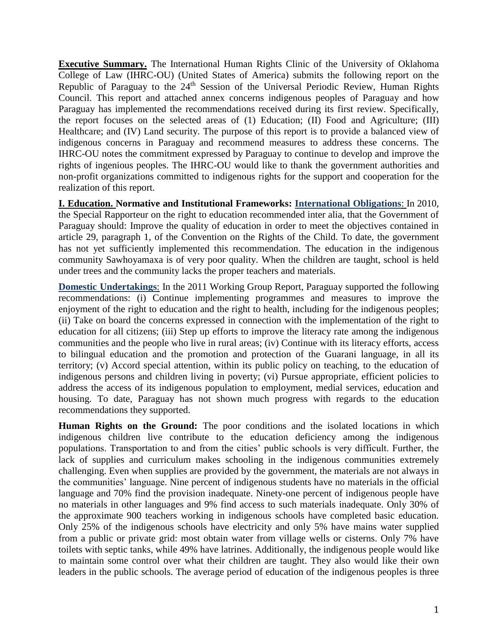**Executive Summary.** The International Human Rights Clinic of the University of Oklahoma College of Law (IHRC-OU) (United States of America) submits the following report on the Republic of Paraguay to the 24<sup>th</sup> Session of the Universal Periodic Review, Human Rights Council. This report and attached annex concerns indigenous peoples of Paraguay and how Paraguay has implemented the recommendations received during its first review. Specifically, the report focuses on the selected areas of (1) Education; (II) Food and Agriculture; (III) Healthcare; and (IV) Land security. The purpose of this report is to provide a balanced view of indigenous concerns in Paraguay and recommend measures to address these concerns. The IHRC-OU notes the commitment expressed by Paraguay to continue to develop and improve the rights of ingenious peoples. The IHRC-OU would like to thank the government authorities and non-profit organizations committed to indigenous rights for the support and cooperation for the realization of this report.

**I. Education. Normative and Institutional Frameworks: International Obligations**: In 2010, the Special Rapporteur on the right to education recommended inter alia, that the Government of Paraguay should: Improve the quality of education in order to meet the objectives contained in article 29, paragraph 1, of the Convention on the Rights of the Child. To date, the government has not yet sufficiently implemented this recommendation. The education in the indigenous community Sawhoyamaxa is of very poor quality. When the children are taught, school is held under trees and the community lacks the proper teachers and materials.

**Domestic Undertakings**: In the 2011 Working Group Report, Paraguay supported the following recommendations: (i) Continue implementing programmes and measures to improve the enjoyment of the right to education and the right to health, including for the indigenous peoples; (ii) Take on board the concerns expressed in connection with the implementation of the right to education for all citizens; (iii) Step up efforts to improve the literacy rate among the indigenous communities and the people who live in rural areas; (iv) Continue with its literacy efforts, access to bilingual education and the promotion and protection of the Guarani language, in all its territory; (v) Accord special attention, within its public policy on teaching, to the education of indigenous persons and children living in poverty; (vi) Pursue appropriate, efficient policies to address the access of its indigenous population to employment, medial services, education and housing. To date, Paraguay has not shown much progress with regards to the education recommendations they supported.

**Human Rights on the Ground:** The poor conditions and the isolated locations in which indigenous children live contribute to the education deficiency among the indigenous populations. Transportation to and from the cities' public schools is very difficult. Further, the lack of supplies and curriculum makes schooling in the indigenous communities extremely challenging. Even when supplies are provided by the government, the materials are not always in the communities' language. Nine percent of indigenous students have no materials in the official language and 70% find the provision inadequate. Ninety-one percent of indigenous people have no materials in other languages and 9% find access to such materials inadequate. Only 30% of the approximate 900 teachers working in indigenous schools have completed basic education. Only 25% of the indigenous schools have electricity and only 5% have mains water supplied from a public or private grid: most obtain water from village wells or cisterns. Only 7% have toilets with septic tanks, while 49% have latrines. Additionally, the indigenous people would like to maintain some control over what their children are taught. They also would like their own leaders in the public schools. The average period of education of the indigenous peoples is three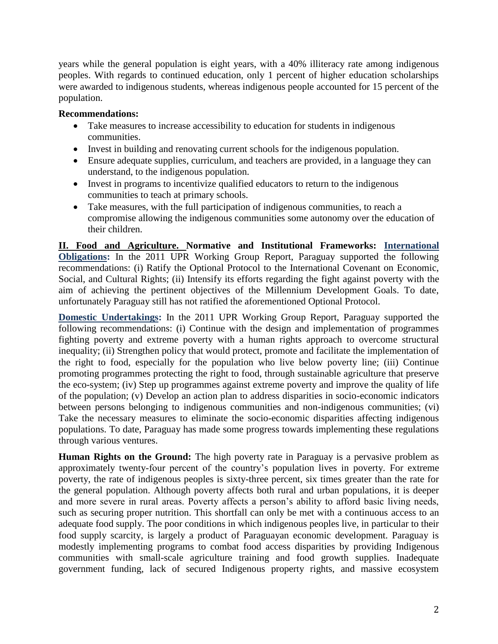years while the general population is eight years, with a 40% illiteracy rate among indigenous peoples. With regards to continued education, only 1 percent of higher education scholarships were awarded to indigenous students, whereas indigenous people accounted for 15 percent of the population.

# **Recommendations:**

- Take measures to increase accessibility to education for students in indigenous communities.
- Invest in building and renovating current schools for the indigenous population.
- Ensure adequate supplies, curriculum, and teachers are provided, in a language they can understand, to the indigenous population.
- Invest in programs to incentivize qualified educators to return to the indigenous communities to teach at primary schools.
- Take measures, with the full participation of indigenous communities, to reach a compromise allowing the indigenous communities some autonomy over the education of their children.

**II. Food and Agriculture. Normative and Institutional Frameworks: International Obligations:** In the 2011 UPR Working Group Report, Paraguay supported the following recommendations: (i) Ratify the Optional Protocol to the International Covenant on Economic, Social, and Cultural Rights; (ii) Intensify its efforts regarding the fight against poverty with the aim of achieving the pertinent objectives of the Millennium Development Goals. To date, unfortunately Paraguay still has not ratified the aforementioned Optional Protocol.

**Domestic Undertakings:** In the 2011 UPR Working Group Report, Paraguay supported the following recommendations: (i) Continue with the design and implementation of programmes fighting poverty and extreme poverty with a human rights approach to overcome structural inequality; (ii) Strengthen policy that would protect, promote and facilitate the implementation of the right to food, especially for the population who live below poverty line; (iii) Continue promoting programmes protecting the right to food, through sustainable agriculture that preserve the eco-system; (iv) Step up programmes against extreme poverty and improve the quality of life of the population; (v) Develop an action plan to address disparities in socio-economic indicators between persons belonging to indigenous communities and non-indigenous communities; (vi) Take the necessary measures to eliminate the socio-economic disparities affecting indigenous populations. To date, Paraguay has made some progress towards implementing these regulations through various ventures.

**Human Rights on the Ground:** The high poverty rate in Paraguay is a pervasive problem as approximately twenty-four percent of the country's population lives in poverty. For extreme poverty, the rate of indigenous peoples is sixty-three percent, six times greater than the rate for the general population. Although poverty affects both rural and urban populations, it is deeper and more severe in rural areas. Poverty affects a person's ability to afford basic living needs, such as securing proper nutrition. This shortfall can only be met with a continuous access to an adequate food supply. The poor conditions in which indigenous peoples live, in particular to their food supply scarcity, is largely a product of Paraguayan economic development. Paraguay is modestly implementing programs to combat food access disparities by providing Indigenous communities with small-scale agriculture training and food growth supplies. Inadequate government funding, lack of secured Indigenous property rights, and massive ecosystem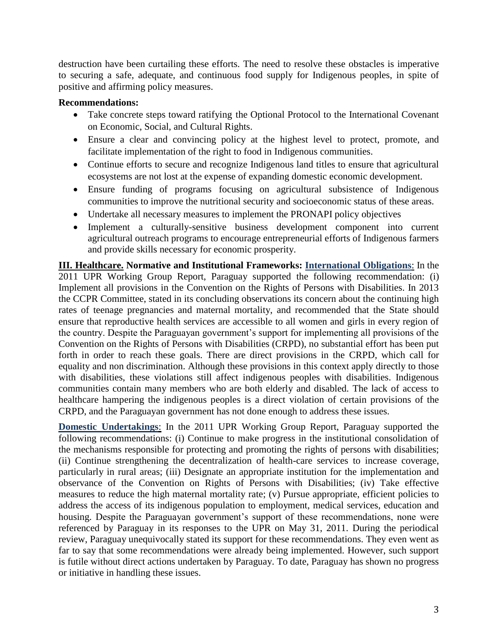destruction have been curtailing these efforts. The need to resolve these obstacles is imperative to securing a safe, adequate, and continuous food supply for Indigenous peoples, in spite of positive and affirming policy measures.

### **Recommendations:**

- Take concrete steps toward ratifying the Optional Protocol to the International Covenant on Economic, Social, and Cultural Rights.
- Ensure a clear and convincing policy at the highest level to protect, promote, and facilitate implementation of the right to food in Indigenous communities.
- Continue efforts to secure and recognize Indigenous land titles to ensure that agricultural ecosystems are not lost at the expense of expanding domestic economic development.
- Ensure funding of programs focusing on agricultural subsistence of Indigenous communities to improve the nutritional security and socioeconomic status of these areas.
- Undertake all necessary measures to implement the PRONAPI policy objectives
- Implement a culturally-sensitive business development component into current agricultural outreach programs to encourage entrepreneurial efforts of Indigenous farmers and provide skills necessary for economic prosperity.

**III. Healthcare. Normative and Institutional Frameworks: International Obligations**: In the 2011 UPR Working Group Report, Paraguay supported the following recommendation: (i) Implement all provisions in the Convention on the Rights of Persons with Disabilities. In 2013 the CCPR Committee, stated in its concluding observations its concern about the continuing high rates of teenage pregnancies and maternal mortality, and recommended that the State should ensure that reproductive health services are accessible to all women and girls in every region of the country. Despite the Paraguayan government's support for implementing all provisions of the Convention on the Rights of Persons with Disabilities (CRPD), no substantial effort has been put forth in order to reach these goals. There are direct provisions in the CRPD, which call for equality and non discrimination. Although these provisions in this context apply directly to those with disabilities, these violations still affect indigenous peoples with disabilities. Indigenous communities contain many members who are both elderly and disabled. The lack of access to healthcare hampering the indigenous peoples is a direct violation of certain provisions of the CRPD, and the Paraguayan government has not done enough to address these issues.

**Domestic Undertakings**: In the 2011 UPR Working Group Report, Paraguay supported the following recommendations: (i) Continue to make progress in the institutional consolidation of the mechanisms responsible for protecting and promoting the rights of persons with disabilities; (ii) Continue strengthening the decentralization of health-care services to increase coverage, particularly in rural areas; (iii) Designate an appropriate institution for the implementation and observance of the Convention on Rights of Persons with Disabilities; (iv) Take effective measures to reduce the high maternal mortality rate; (v) Pursue appropriate, efficient policies to address the access of its indigenous population to employment, medical services, education and housing. Despite the Paraguayan government's support of these recommendations, none were referenced by Paraguay in its responses to the UPR on May 31, 2011. During the periodical review, Paraguay unequivocally stated its support for these recommendations. They even went as far to say that some recommendations were already being implemented. However, such support is futile without direct actions undertaken by Paraguay. To date, Paraguay has shown no progress or initiative in handling these issues.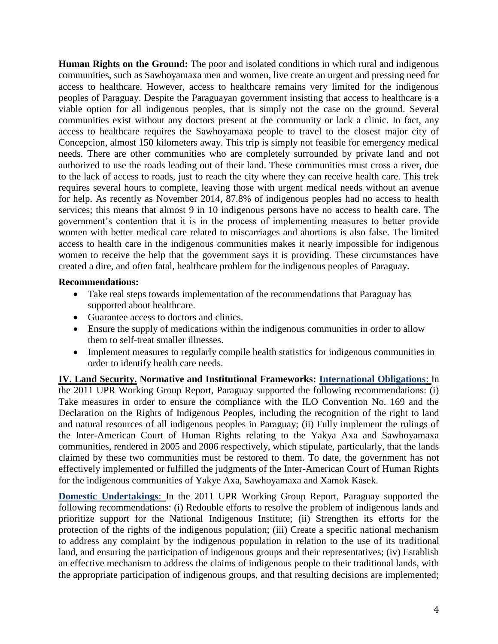**Human Rights on the Ground:** The poor and isolated conditions in which rural and indigenous communities, such as Sawhoyamaxa men and women, live create an urgent and pressing need for access to healthcare. However, access to healthcare remains very limited for the indigenous peoples of Paraguay. Despite the Paraguayan government insisting that access to healthcare is a viable option for all indigenous peoples, that is simply not the case on the ground. Several communities exist without any doctors present at the community or lack a clinic. In fact, any access to healthcare requires the Sawhoyamaxa people to travel to the closest major city of Concepcion, almost 150 kilometers away. This trip is simply not feasible for emergency medical needs. There are other communities who are completely surrounded by private land and not authorized to use the roads leading out of their land. These communities must cross a river, due to the lack of access to roads, just to reach the city where they can receive health care. This trek requires several hours to complete, leaving those with urgent medical needs without an avenue for help. As recently as November 2014, 87.8% of indigenous peoples had no access to health services; this means that almost 9 in 10 indigenous persons have no access to health care. The government's contention that it is in the process of implementing measures to better provide women with better medical care related to miscarriages and abortions is also false. The limited access to health care in the indigenous communities makes it nearly impossible for indigenous women to receive the help that the government says it is providing. These circumstances have created a dire, and often fatal, healthcare problem for the indigenous peoples of Paraguay.

### **Recommendations:**

- Take real steps towards implementation of the recommendations that Paraguay has supported about healthcare.
- Guarantee access to doctors and clinics.
- Ensure the supply of medications within the indigenous communities in order to allow them to self-treat smaller illnesses.
- Implement measures to regularly compile health statistics for indigenous communities in order to identify health care needs.

**IV. Land Security. Normative and Institutional Frameworks: International Obligations**: In the 2011 UPR Working Group Report, Paraguay supported the following recommendations: (i) Take measures in order to ensure the compliance with the ILO Convention No. 169 and the Declaration on the Rights of Indigenous Peoples, including the recognition of the right to land and natural resources of all indigenous peoples in Paraguay; (ii) Fully implement the rulings of the Inter-American Court of Human Rights relating to the Yakya Axa and Sawhoyamaxa communities, rendered in 2005 and 2006 respectively, which stipulate, particularly, that the lands claimed by these two communities must be restored to them. To date, the government has not effectively implemented or fulfilled the judgments of the Inter-American Court of Human Rights for the indigenous communities of Yakye Axa, Sawhoyamaxa and Xamok Kasek.

**Domestic Undertakings**: In the 2011 UPR Working Group Report, Paraguay supported the following recommendations: (i) Redouble efforts to resolve the problem of indigenous lands and prioritize support for the National Indigenous Institute; (ii) Strengthen its efforts for the protection of the rights of the indigenous population; (iii) Create a specific national mechanism to address any complaint by the indigenous population in relation to the use of its traditional land, and ensuring the participation of indigenous groups and their representatives; (iv) Establish an effective mechanism to address the claims of indigenous people to their traditional lands, with the appropriate participation of indigenous groups, and that resulting decisions are implemented;